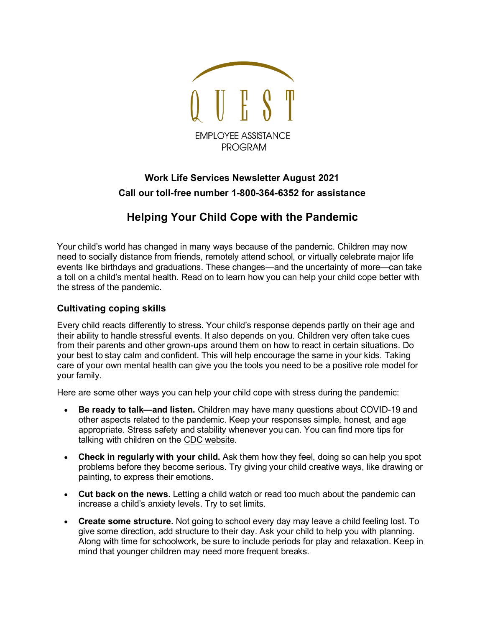

## **Work Life Services Newsletter August 2021 Call our toll-free number 1-800-364-6352 for assistance**

## **Helping Your Child Cope with the Pandemic**

Your child's world has changed in many ways because of the pandemic. Children may now need to socially distance from friends, remotely attend school, or virtually celebrate major life events like birthdays and graduations. These changes—and the uncertainty of more—can take a toll on a child's mental health. Read on to learn how you can help your child cope better with the stress of the pandemic.

## **Cultivating coping skills**

Every child reacts differently to stress. Your child's response depends partly on their age and their ability to handle stressful events. It also depends on you. Children very often take cues from their parents and other grown-ups around them on how to react in certain situations. Do your best to stay calm and confident. This will help encourage the same in your kids. Taking care of your own mental health can give you the tools you need to be a positive role model for your family.

Here are some other ways you can help your child cope with stress during the pandemic:

- **Be ready to talk—and listen.** Children may have many questions about COVID-19 and other aspects related to the pandemic. Keep your responses simple, honest, and age appropriate. Stress safety and stability whenever you can. You can find more tips for talking with children on the [CDC website.](https://www.cdc.gov/coronavirus/2019-ncov/daily-life-coping/talking-with-children.html)
- **Check in regularly with your child.** Ask them how they feel, doing so can help you spot problems before they become serious. Try giving your child creative ways, like drawing or painting, to express their emotions.
- **Cut back on the news.** Letting a child watch or read too much about the pandemic can increase a child's anxiety levels. Try to set limits.
- **Create some structure.** Not going to school every day may leave a child feeling lost. To give some direction, add structure to their day. Ask your child to help you with planning. Along with time for schoolwork, be sure to include periods for play and relaxation. Keep in mind that younger children may need more frequent breaks.